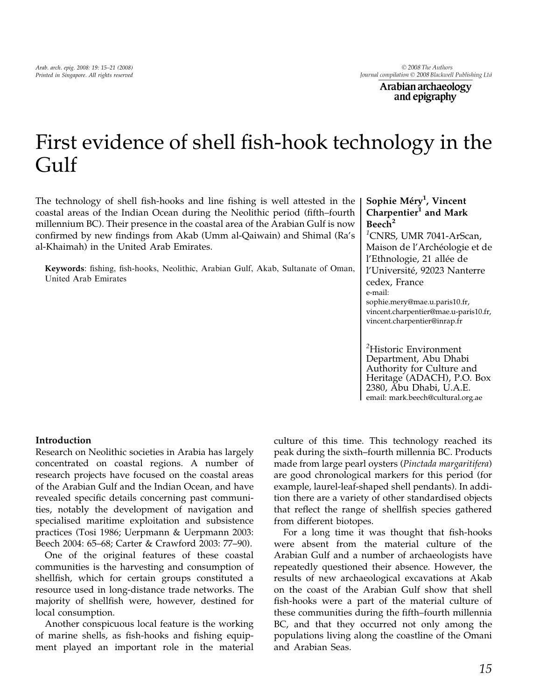Arabian archaeology and epigraphy

# First evidence of shell fish-hook technology in the Gulf

The technology of shell fish-hooks and line fishing is well attested in the coastal areas of the Indian Ocean during the Neolithic period (fifth–fourth millennium BC). Their presence in the coastal area of the Arabian Gulf is now confirmed by new findings from Akab (Umm al-Qaiwain) and Shimal (Ra's al-Khaimah) in the United Arab Emirates.

Keywords: fishing, fish-hooks, Neolithic, Arabian Gulf, Akab, Sultanate of Oman, United Arab Emirates

## Sophie Méry<sup>1</sup>, Vincent Charpentier<sup>1</sup> and Mark  $Beech<sup>2</sup>$

<sup>1</sup>CNRS, UMR 7041-ArScan, Maison de l'Archéologie et de l'Ethnologie, 21 allée de l'Université, 92023 Nanterre cedex, France e-mail: sophie.mery@mae.u.paris10.fr, vincent.charpentier@mae.u-paris10.fr, vincent.charpentier@inrap.fr

2 Historic Environment Department, Abu Dhabi Authority for Culture and Heritage (ADACH), P.O. Box 2380, Abu Dhabi, U.A.E. email: mark.beech@cultural.org.ae

## Introduction

Research on Neolithic societies in Arabia has largely concentrated on coastal regions. A number of research projects have focused on the coastal areas of the Arabian Gulf and the Indian Ocean, and have revealed specific details concerning past communities, notably the development of navigation and specialised maritime exploitation and subsistence practices (Tosi 1986; Uerpmann & Uerpmann 2003: Beech 2004: 65–68; Carter & Crawford 2003: 77–90).

One of the original features of these coastal communities is the harvesting and consumption of shellfish, which for certain groups constituted a resource used in long-distance trade networks. The majority of shellfish were, however, destined for local consumption.

Another conspicuous local feature is the working of marine shells, as fish-hooks and fishing equipment played an important role in the material culture of this time. This technology reached its peak during the sixth–fourth millennia BC. Products made from large pearl oysters (Pinctada margaritifera) are good chronological markers for this period (for example, laurel-leaf-shaped shell pendants). In addition there are a variety of other standardised objects that reflect the range of shellfish species gathered from different biotopes.

For a long time it was thought that fish-hooks were absent from the material culture of the Arabian Gulf and a number of archaeologists have repeatedly questioned their absence. However, the results of new archaeological excavations at Akab on the coast of the Arabian Gulf show that shell fish-hooks were a part of the material culture of these communities during the fifth–fourth millennia BC, and that they occurred not only among the populations living along the coastline of the Omani and Arabian Seas.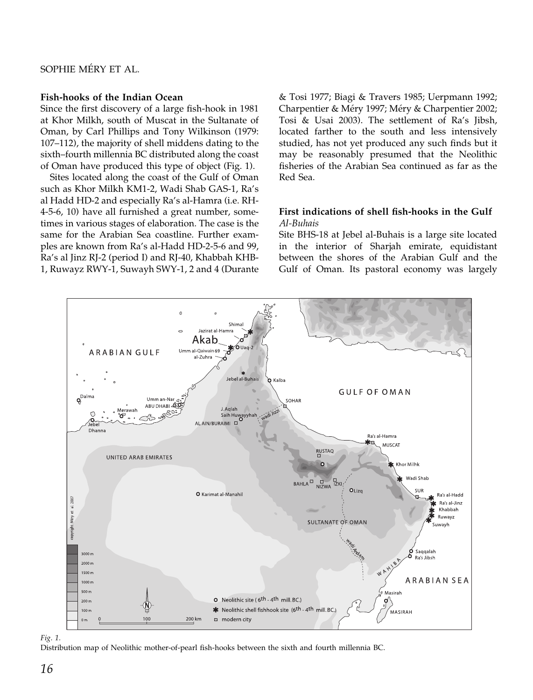# SOPHIE MÉRY ET AL.

#### Fish-hooks of the Indian Ocean

Since the first discovery of a large fish-hook in 1981 at Khor Milkh, south of Muscat in the Sultanate of Oman, by Carl Phillips and Tony Wilkinson (1979: 107–112), the majority of shell middens dating to the sixth–fourth millennia BC distributed along the coast of Oman have produced this type of object (Fig. 1).

Sites located along the coast of the Gulf of Oman such as Khor Milkh KM1-2, Wadi Shab GAS-1, Ra's al Hadd HD-2 and especially Ra's al-Hamra (i.e. RH-4-5-6, 10) have all furnished a great number, sometimes in various stages of elaboration. The case is the same for the Arabian Sea coastline. Further examples are known from Ra's al-Hadd HD-2-5-6 and 99, Ra's al Jinz RJ-2 (period I) and RJ-40, Khabbah KHB-1, Ruwayz RWY-1, Suwayh SWY-1, 2 and 4 (Durante & Tosi 1977; Biagi & Travers 1985; Uerpmann 1992; Charpentier & Méry 1997; Méry & Charpentier 2002; Tosi & Usai 2003). The settlement of Ra's Jibsh, located farther to the south and less intensively studied, has not yet produced any such finds but it may be reasonably presumed that the Neolithic fisheries of the Arabian Sea continued as far as the Red Sea.

## First indications of shell fish-hooks in the Gulf Al-Buhais

Site BHS-18 at Jebel al-Buhais is a large site located in the interior of Sharjah emirate, equidistant between the shores of the Arabian Gulf and the Gulf of Oman. Its pastoral economy was largely



Fig. 1.

Distribution map of Neolithic mother-of-pearl fish-hooks between the sixth and fourth millennia BC.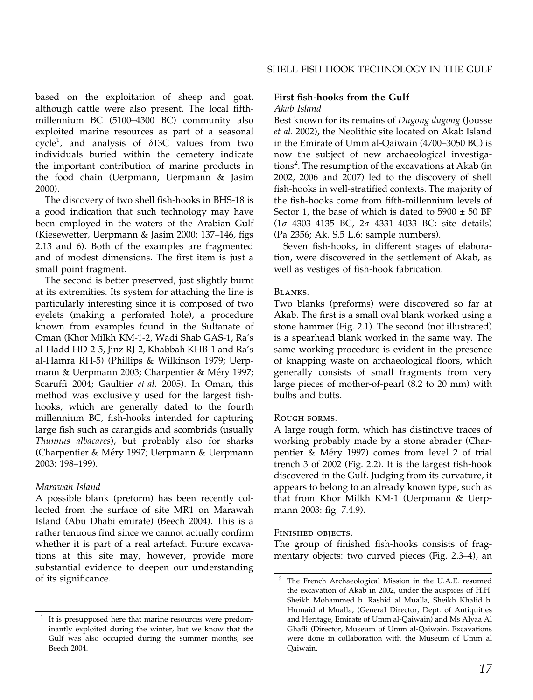based on the exploitation of sheep and goat, although cattle were also present. The local fifthmillennium BC (5100–4300 BC) community also exploited marine resources as part of a seasonal cycle<sup>1</sup>, and analysis of  $\delta$ 13C values from two individuals buried within the cemetery indicate the important contribution of marine products in the food chain (Uerpmann, Uerpmann & Jasim 2000).

The discovery of two shell fish-hooks in BHS-18 is a good indication that such technology may have been employed in the waters of the Arabian Gulf (Kiesewetter, Uerpmann & Jasim 2000: 137–146, figs 2.13 and 6). Both of the examples are fragmented and of modest dimensions. The first item is just a small point fragment.

The second is better preserved, just slightly burnt at its extremities. Its system for attaching the line is particularly interesting since it is composed of two eyelets (making a perforated hole), a procedure known from examples found in the Sultanate of Oman (Khor Milkh KM-1-2, Wadi Shab GAS-1, Ra's al-Hadd HD-2-5, Jinz RJ-2, Khabbah KHB-1 and Ra's al-Hamra RH-5) (Phillips & Wilkinson 1979; Uerpmann & Uerpmann 2003; Charpentier & Méry 1997; Scaruffi 2004; Gaultier et al. 2005). In Oman, this method was exclusively used for the largest fishhooks, which are generally dated to the fourth millennium BC, fish-hooks intended for capturing large fish such as carangids and scombrids (usually Thunnus albacares), but probably also for sharks (Charpentier & Méry 1997; Uerpmann & Uerpmann 2003: 198–199).

## Marawah Island

A possible blank (preform) has been recently collected from the surface of site MR1 on Marawah Island (Abu Dhabi emirate) (Beech 2004). This is a rather tenuous find since we cannot actually confirm whether it is part of a real artefact. Future excavations at this site may, however, provide more substantial evidence to deepen our understanding of its significance.

#### First fish-hooks from the Gulf

#### Akab Island

Best known for its remains of Dugong dugong (Jousse et al. 2002), the Neolithic site located on Akab Island in the Emirate of Umm al-Qaiwain (4700–3050 BC) is now the subject of new archaeological investigations<sup>2</sup>. The resumption of the excavations at Akab (in 2002, 2006 and 2007) led to the discovery of shell fish-hooks in well-stratified contexts. The majority of the fish-hooks come from fifth-millennium levels of Sector 1, the base of which is dated to  $5900 \pm 50$  BP ( $1\sigma$  4303-4135 BC,  $2\sigma$  4331-4033 BC: site details) (Pa 2356; Ak. S.5 L.6: sample numbers).

Seven fish-hooks, in different stages of elaboration, were discovered in the settlement of Akab, as well as vestiges of fish-hook fabrication.

## Blanks.

Two blanks (preforms) were discovered so far at Akab. The first is a small oval blank worked using a stone hammer (Fig. 2.1). The second (not illustrated) is a spearhead blank worked in the same way. The same working procedure is evident in the presence of knapping waste on archaeological floors, which generally consists of small fragments from very large pieces of mother-of-pearl (8.2 to 20 mm) with bulbs and butts.

#### Rough forms.

A large rough form, which has distinctive traces of working probably made by a stone abrader (Charpentier & Méry 1997) comes from level 2 of trial trench 3 of 2002 (Fig. 2.2). It is the largest fish-hook discovered in the Gulf. Judging from its curvature, it appears to belong to an already known type, such as that from Khor Milkh KM-1 (Uerpmann & Uerpmann 2003: fig. 7.4.9).

#### FINISHED OBJECTS.

The group of finished fish-hooks consists of fragmentary objects: two curved pieces (Fig. 2.3–4), an

It is presupposed here that marine resources were predominantly exploited during the winter, but we know that the Gulf was also occupied during the summer months, see Beech 2004.

<sup>2</sup> The French Archaeological Mission in the U.A.E. resumed the excavation of Akab in 2002, under the auspices of H.H. Sheikh Mohammed b. Rashid al Mualla, Sheikh Khalid b. Humaid al Mualla, (General Director, Dept. of Antiquities and Heritage, Emirate of Umm al-Qaiwain) and Ms Alyaa Al Ghafli (Director, Museum of Umm al-Qaiwain. Excavations were done in collaboration with the Museum of Umm al Qaiwain.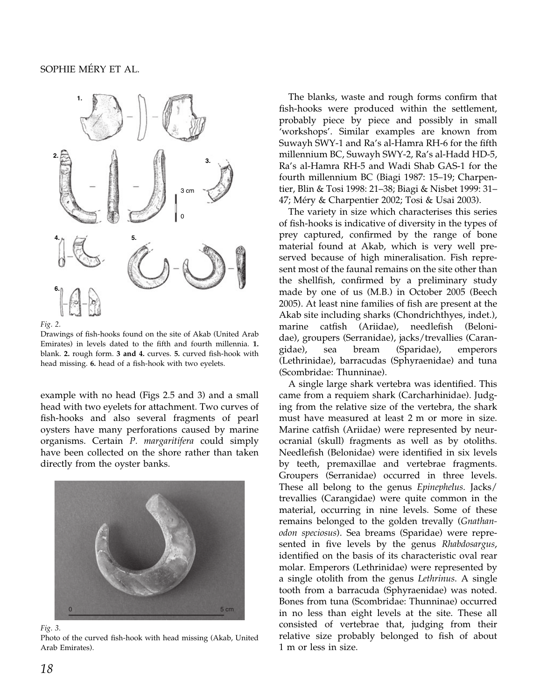## SOPHIE MÉRY ET AL.





Drawings of fish-hooks found on the site of Akab (United Arab Emirates) in levels dated to the fifth and fourth millennia. 1. blank. 2. rough form. 3 and 4. curves. 5. curved fish-hook with head missing. 6. head of a fish-hook with two eyelets.

example with no head (Figs 2.5 and 3) and a small head with two eyelets for attachment. Two curves of fish-hooks and also several fragments of pearl oysters have many perforations caused by marine organisms. Certain P. margaritifera could simply have been collected on the shore rather than taken directly from the oyster banks.



Fig. 3.

Photo of the curved fish-hook with head missing (Akab, United Arab Emirates).

The blanks, waste and rough forms confirm that fish-hooks were produced within the settlement, probably piece by piece and possibly in small 'workshops'. Similar examples are known from Suwayh SWY-1 and Ra's al-Hamra RH-6 for the fifth millennium BC, Suwayh SWY-2, Ra's al-Hadd HD-5, Ra's al-Hamra RH-5 and Wadi Shab GAS-1 for the fourth millennium BC (Biagi 1987: 15–19; Charpentier, Blin & Tosi 1998: 21–38; Biagi & Nisbet 1999: 31– 47; Méry & Charpentier 2002; Tosi & Usai 2003).

The variety in size which characterises this series of fish-hooks is indicative of diversity in the types of prey captured, confirmed by the range of bone material found at Akab, which is very well preserved because of high mineralisation. Fish represent most of the faunal remains on the site other than the shellfish, confirmed by a preliminary study made by one of us (M.B.) in October 2005 (Beech 2005). At least nine families of fish are present at the Akab site including sharks (Chondrichthyes, indet.), marine catfish (Ariidae), needlefish (Belonidae), groupers (Serranidae), jacks/trevallies (Carangidae), sea bream (Sparidae), emperors (Lethrinidae), barracudas (Sphyraenidae) and tuna (Scombridae: Thunninae).

A single large shark vertebra was identified. This came from a requiem shark (Carcharhinidae). Judging from the relative size of the vertebra, the shark must have measured at least 2 m or more in size. Marine catfish (Ariidae) were represented by neurocranial (skull) fragments as well as by otoliths. Needlefish (Belonidae) were identified in six levels by teeth, premaxillae and vertebrae fragments. Groupers (Serranidae) occurred in three levels. These all belong to the genus Epinephelus. Jacks/ trevallies (Carangidae) were quite common in the material, occurring in nine levels. Some of these remains belonged to the golden trevally (Gnathanodon speciosus). Sea breams (Sparidae) were represented in five levels by the genus Rhabdosargus, identified on the basis of its characteristic oval rear molar. Emperors (Lethrinidae) were represented by a single otolith from the genus Lethrinus. A single tooth from a barracuda (Sphyraenidae) was noted. Bones from tuna (Scombridae: Thunninae) occurred in no less than eight levels at the site. These all consisted of vertebrae that, judging from their relative size probably belonged to fish of about 1 m or less in size.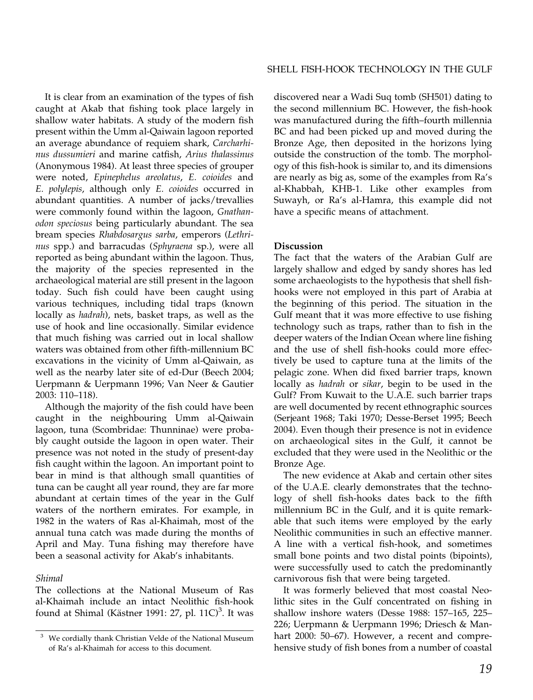It is clear from an examination of the types of fish caught at Akab that fishing took place largely in shallow water habitats. A study of the modern fish present within the Umm al-Qaiwain lagoon reported an average abundance of requiem shark, Carcharhinus dussumieri and marine catfish, Arius thalassinus (Anonymous 1984). At least three species of grouper were noted, Epinephelus areolatus, E. coioides and E. polylepis, although only E. coioides occurred in abundant quantities. A number of jacks/trevallies were commonly found within the lagoon, Gnathanodon speciosus being particularly abundant. The sea bream species Rhabdosargus sarba, emperors (Lethrinus spp.) and barracudas (Sphyraena sp.), were all reported as being abundant within the lagoon. Thus, the majority of the species represented in the archaeological material are still present in the lagoon today. Such fish could have been caught using various techniques, including tidal traps (known locally as hadrah), nets, basket traps, as well as the use of hook and line occasionally. Similar evidence that much fishing was carried out in local shallow waters was obtained from other fifth-millennium BC excavations in the vicinity of Umm al-Qaiwain, as well as the nearby later site of ed-Dur (Beech 2004; Uerpmann & Uerpmann 1996; Van Neer & Gautier 2003: 110–118).

Although the majority of the fish could have been caught in the neighbouring Umm al-Qaiwain lagoon, tuna (Scombridae: Thunninae) were probably caught outside the lagoon in open water. Their presence was not noted in the study of present-day fish caught within the lagoon. An important point to bear in mind is that although small quantities of tuna can be caught all year round, they are far more abundant at certain times of the year in the Gulf waters of the northern emirates. For example, in 1982 in the waters of Ras al-Khaimah, most of the annual tuna catch was made during the months of April and May. Tuna fishing may therefore have been a seasonal activity for Akab's inhabitants.

## Shimal

The collections at the National Museum of Ras al-Khaimah include an intact Neolithic fish-hook found at Shimal (Kästner 1991: 27, pl. 11C)<sup>3</sup>. It was

discovered near a Wadi Suq tomb (SH501) dating to the second millennium BC. However, the fish-hook was manufactured during the fifth–fourth millennia BC and had been picked up and moved during the Bronze Age, then deposited in the horizons lying outside the construction of the tomb. The morphology of this fish-hook is similar to, and its dimensions are nearly as big as, some of the examples from Ra's al-Khabbah, KHB-1. Like other examples from Suwayh, or Ra's al-Hamra, this example did not have a specific means of attachment.

## Discussion

The fact that the waters of the Arabian Gulf are largely shallow and edged by sandy shores has led some archaeologists to the hypothesis that shell fishhooks were not employed in this part of Arabia at the beginning of this period. The situation in the Gulf meant that it was more effective to use fishing technology such as traps, rather than to fish in the deeper waters of the Indian Ocean where line fishing and the use of shell fish-hooks could more effectively be used to capture tuna at the limits of the pelagic zone. When did fixed barrier traps, known locally as hadrah or sikar, begin to be used in the Gulf? From Kuwait to the U.A.E. such barrier traps are well documented by recent ethnographic sources (Serjeant 1968; Taki 1970; Desse-Berset 1995; Beech 2004). Even though their presence is not in evidence on archaeological sites in the Gulf, it cannot be excluded that they were used in the Neolithic or the Bronze Age.

The new evidence at Akab and certain other sites of the U.A.E. clearly demonstrates that the technology of shell fish-hooks dates back to the fifth millennium BC in the Gulf, and it is quite remarkable that such items were employed by the early Neolithic communities in such an effective manner. A line with a vertical fish-hook, and sometimes small bone points and two distal points (bipoints), were successfully used to catch the predominantly carnivorous fish that were being targeted.

It was formerly believed that most coastal Neolithic sites in the Gulf concentrated on fishing in shallow inshore waters (Desse 1988: 157–165, 225– 226; Uerpmann & Uerpmann 1996; Driesch & Manhart 2000: 50–67). However, a recent and comprehensive study of fish bones from a number of coastal

We cordially thank Christian Velde of the National Museum of Ra's al-Khaimah for access to this document.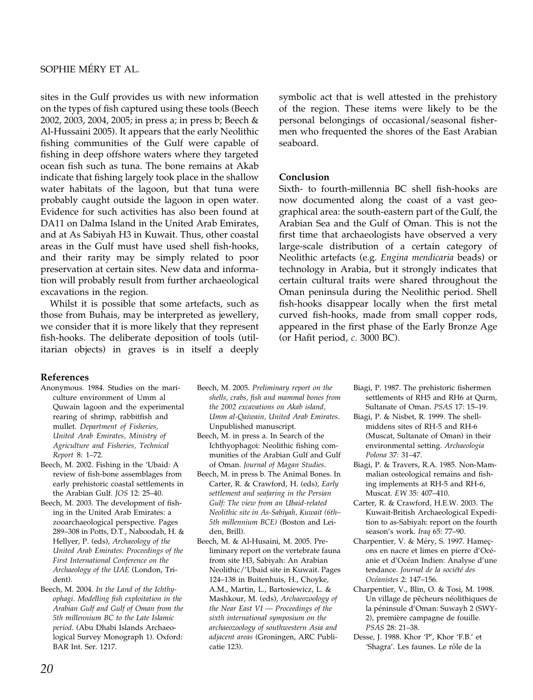# SOPHIE MÉRY ET AL.

sites in the Gulf provides us with new information on the types of fish captured using these tools (Beech 2002, 2003, 2004, 2005; in press a; in press b; Beech & Al-Hussaini 2005). It appears that the early Neolithic fishing communities of the Gulf were capable of fishing in deep offshore waters where they targeted ocean fish such as tuna. The bone remains at Akab indicate that fishing largely took place in the shallow water habitats of the lagoon, but that tuna were probably caught outside the lagoon in open water. Evidence for such activities has also been found at DA11 on Dalma Island in the United Arab Emirates, and at As Sabiyah H3 in Kuwait. Thus, other coastal areas in the Gulf must have used shell fish-hooks, and their rarity may be simply related to poor preservation at certain sites. New data and information will probably result from further archaeological excavations in the region.

Whilst it is possible that some artefacts, such as those from Buhais, may be interpreted as jewellery, we consider that it is more likely that they represent fish-hooks. The deliberate deposition of tools (utilitarian objects) in graves is in itself a deeply

#### References

- Anonymous. 1984. Studies on the mariculture environment of Umm al Quwain lagoon and the experimental rearing of shrimp, rabbitfish and mullet. Department of Fisheries, United Arab Emirates, Ministry of Agriculture and Fisheries, Technical Report 8: 1–72.
- Beech, M. 2002. Fishing in the 'Ubaid: A review of fish-bone assemblages from early prehistoric coastal settlements in the Arabian Gulf. JOS 12: 25–40.
- Beech, M. 2003. The development of fishing in the United Arab Emirates: a zooarchaeological perspective. Pages 289–308 in Potts, D.T., Naboodah, H. & Hellyer, P. (eds), Archaeology of the United Arab Emirates: Proceedings of the First International Conference on the Archaeology of the UAE (London, Trident).
- Beech, M. 2004. In the Land of the Ichthyophagi. Modelling fish exploitation in the Arabian Gulf and Gulf of Oman from the 5th millennium BC to the Late Islamic period. (Abu Dhabi Islands Archaeological Survey Monograph 1). Oxford: BAR Int. Ser. 1217.
- Beech, M. 2005. Preliminary report on the shells, crabs, fish and mammal bones from the 2002 excavations on Akab island, Umm al-Qaiwain, United Arab Emirates. Unpublished manuscript.
- Beech, M. in press a. In Search of the Ichthyophagoi: Neolithic fishing communities of the Arabian Gulf and Gulf of Oman. Journal of Magan Studies.
- Beech, M. in press b. The Animal Bones. In Carter, R. & Crawford, H. (eds), Early settlement and seafaring in the Persian Gulf: The view from an Ubaid-related Neolithic site in As-Sabiyah, Kuwait (6th– 5th millennium BCE) (Boston and Leiden, Brill).
- Beech, M. & Al-Husaini, M. 2005. Preliminary report on the vertebrate fauna from site H3, Sabiyah: An Arabian Neolithic/'Ubaid site in Kuwait. Pages 124–138 in Buitenhuis, H., Choyke, A.M., Martin, L., Bartosiewicz, L. & Mashkour, M. (eds), Archaeozoology of the Near East  $VI$  — Proceedings of the sixth international symposium on the archaeozoology of southwestern Asia and adjacent areas (Groningen, ARC Publicatie 123).

symbolic act that is well attested in the prehistory of the region. These items were likely to be the personal belongings of occasional/seasonal fishermen who frequented the shores of the East Arabian seaboard.

## Conclusion

Sixth- to fourth-millennia BC shell fish-hooks are now documented along the coast of a vast geographical area: the south-eastern part of the Gulf, the Arabian Sea and the Gulf of Oman. This is not the first time that archaeologists have observed a very large-scale distribution of a certain category of Neolithic artefacts (e.g. Engina mendicaria beads) or technology in Arabia, but it strongly indicates that certain cultural traits were shared throughout the Oman peninsula during the Neolithic period. Shell fish-hooks disappear locally when the first metal curved fish-hooks, made from small copper rods, appeared in the first phase of the Early Bronze Age (or Hafit period,  $c$ . 3000 BC).

- Biagi, P. 1987. The prehistoric fishermen settlements of RH5 and RH6 at Qurm, Sultanate of Oman. PSAS 17: 15–19.
- Biagi, P. & Nisbet, R. 1999. The shellmiddens sites of RH-5 and RH-6 (Muscat, Sultanate of Oman) in their environmental setting. Archaeologia Polona 37: 31–47.
- Biagi, P. & Travers, R.A. 1985. Non-Mammalian osteological remains and fishing implements at RH-5 and RH-6, Muscat. EW 35: 407–410.
- Carter, R. & Crawford, H.E.W. 2003. The Kuwait-British Archaeological Expedition to as-Sabiyah: report on the fourth season's work. Iraq 65: 77–90.
- Charpentier, V. & Méry, S. 1997. Hameçons en nacre et limes en pierre d'Océanie et d'Océan Indien: Analyse d'une tendance. Journal de la société des Océanistes 2: 147-156.
- Charpentier, V., Blin, O. & Tosi, M. 1998. Un village de pêcheurs néolithiques de la péninsule d'Oman: Suwayh 2 (SWY-2), première campagne de fouille. PSAS 28: 21–38.
- Desse, J. 1988. Khor 'P', Khor 'F.B.' et 'Shagra'. Les faunes. Le rôle de la